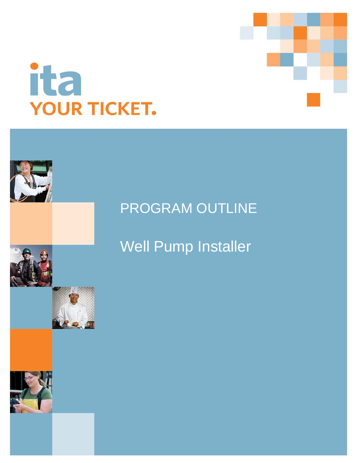



# PROGRAM OUTLINE

Well Pump Installer

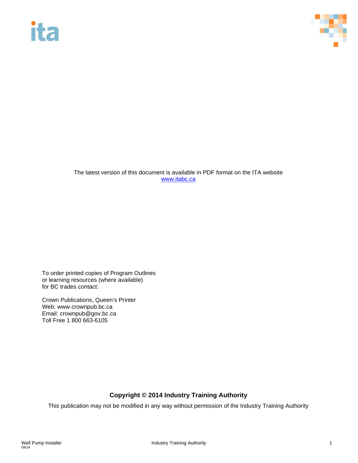# **ita**



The latest version of this document is available in PDF format on the ITA website [www.itabc.ca](http://www.itabc.ca/)

To order printed copies of Program Outlines or learning resources (where available) for BC trades contact:

Crown Publications, Queen's Printer Web: www.crownpub.bc.ca Email: crownpub@gov.bc.ca Toll Free 1 800 663-6105

# **Copyright © 2014 Industry Training Authority**

This publication may not be modified in any way without permission of the Industry Training Authority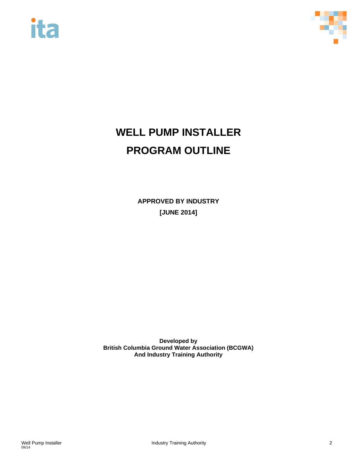



# **WELL PUMP INSTALLER PROGRAM OUTLINE**

**APPROVED BY INDUSTRY [JUNE 2014]**

**Developed by British Columbia Ground Water Association (BCGWA) And Industry Training Authority**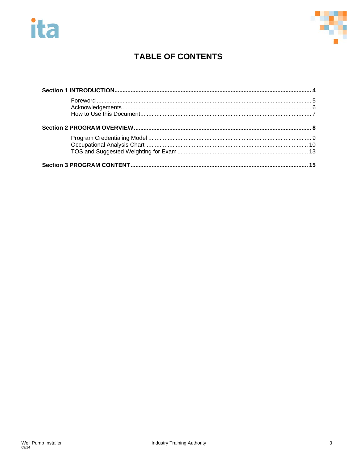



# **TABLE OF CONTENTS**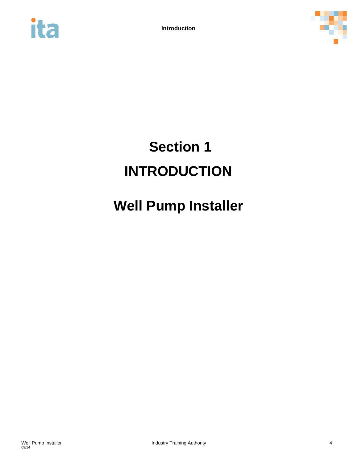



# <span id="page-4-0"></span>**Section 1 INTRODUCTION**

# **Well Pump Installer**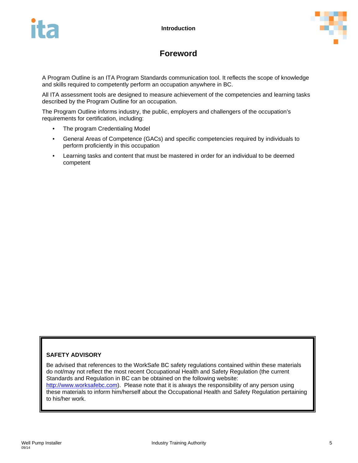

# **Foreword**

<span id="page-5-0"></span>A Program Outline is an ITA Program Standards communication tool. It reflects the scope of knowledge and skills required to competently perform an occupation anywhere in BC.

All ITA assessment tools are designed to measure achievement of the competencies and learning tasks described by the Program Outline for an occupation.

The Program Outline informs industry, the public, employers and challengers of the occupation's requirements for certification, including:

- The program Credentialing Model
- General Areas of Competence (GACs) and specific competencies required by individuals to perform proficiently in this occupation
- Learning tasks and content that must be mastered in order for an individual to be deemed competent

## **SAFETY ADVISORY**

Be advised that references to the WorkSafe BC safety regulations contained within these materials do not/may not reflect the most recent Occupational Health and Safety Regulation (the current Standards and Regulation in BC can be obtained on the following website:

[http://www.worksafebc.com\)](http://www.worksafebc.com/). Please note that it is always the responsibility of any person using these materials to inform him/herself about the Occupational Health and Safety Regulation pertaining to his/her work.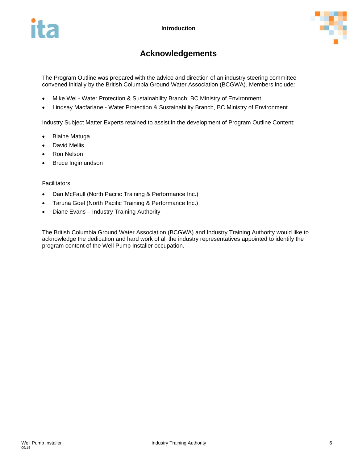

# **Acknowledgements**

<span id="page-6-0"></span>The Program Outline was prepared with the advice and direction of an industry steering committee convened initially by the British Columbia Ground Water Association (BCGWA). Members include:

- Mike Wei Water Protection & Sustainability Branch, BC Ministry of Environment
- Lindsay Macfarlane Water Protection & Sustainability Branch, BC Ministry of Environment

Industry Subject Matter Experts retained to assist in the development of Program Outline Content:

- [Blaine Matuga](http://www.tims2.kazoodev.com/user/125)
- [David Mellis](http://www.tims2.kazoodev.com/user/126)
- [Ron Nelson](http://www.tims2.kazoodev.com/user/124)
- Bruce Ingimundson

#### Facilitators:

- Dan McFaull (North Pacific Training & Performance Inc.)
- Taruna Goel (North Pacific Training & Performance Inc.)
- Diane Evans Industry Training Authority

The British Columbia Ground Water Association (BCGWA) and Industry Training Authority would like to acknowledge the dedication and hard work of all the industry representatives appointed to identify the program content of the Well Pump Installer occupation.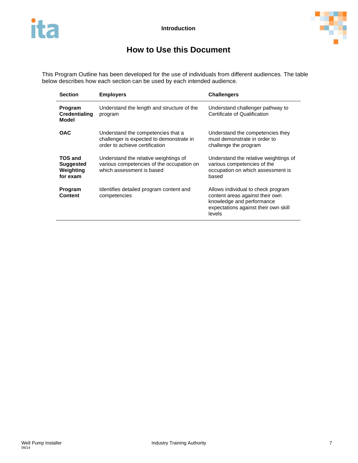

# **How to Use this Document**

<span id="page-7-0"></span>This Program Outline has been developed for the use of individuals from different audiences. The table below describes how each section can be used by each intended audience.

| <b>Section</b>                                              | <b>Employers</b>                                                                                                 | <b>Challengers</b>                                                                                                                                   |
|-------------------------------------------------------------|------------------------------------------------------------------------------------------------------------------|------------------------------------------------------------------------------------------------------------------------------------------------------|
| Program<br><b>Credentialing</b><br>Model                    | Understand the length and structure of the<br>program                                                            | Understand challenger pathway to<br>Certificate of Qualification                                                                                     |
| <b>OAC</b>                                                  | Understand the competencies that a<br>challenger is expected to demonstrate in<br>order to achieve certification | Understand the competencies they<br>must demonstrate in order to<br>challenge the program                                                            |
| <b>TOS and</b><br><b>Suggested</b><br>Weighting<br>for exam | Understand the relative weightings of<br>various competencies of the occupation on<br>which assessment is based  | Understand the relative weightings of<br>various competencies of the<br>occupation on which assessment is<br>based                                   |
| Program<br><b>Content</b>                                   | Identifies detailed program content and<br>competencies                                                          | Allows individual to check program<br>content areas against their own<br>knowledge and performance<br>expectations against their own skill<br>levels |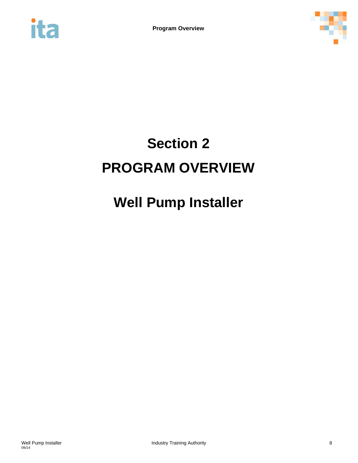<span id="page-8-0"></span>



# **Section 2 PROGRAM OVERVIEW**

# **Well Pump Installer**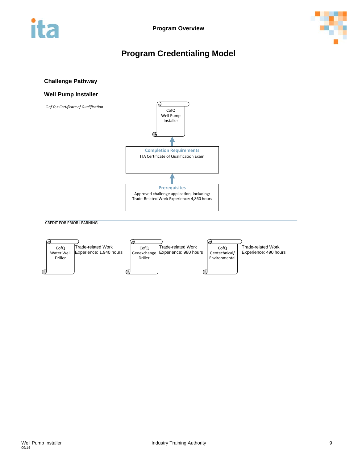<span id="page-9-0"></span>



# **Program Credentialing Model**

#### **Challenge Pathway**

#### **Well Pump Installer**



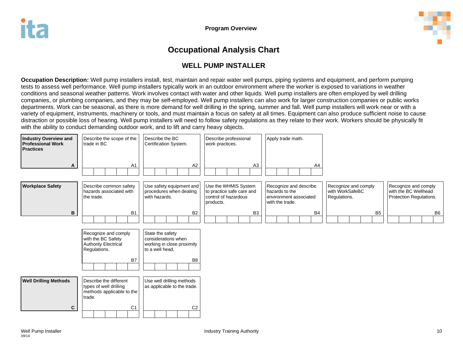

# **Occupational Analysis Chart**

# **WELL PUMP INSTALLER**

**Occupation Description:** Well pump installers install, test, maintain and repair water well pumps, piping systems and equipment, and perform pumping tests to assess well performance. Well pump installers typically work in an outdoor environment where the worker is exposed to variations in weather conditions and seasonal weather patterns. Work involves contact with water and other liquids. Well pump installers are often employed by well drilling companies, or plumbing companies, and they may be self-employed. Well pump installers can also work for larger construction companies or public works departments. Work can be seasonal, as there is more demand for well drilling in the spring, summer and fall. Well pump installers will work near or with a variety of equipment, instruments, machinery or tools, and must maintain a focus on safety at all times. Equipment can also produce sufficient noise to cause distraction or possible loss of hearing. Well pump installers will need to follow safety regulations as they relate to their work. Workers should be physically fit with the ability to conduct demanding outdoor work, and to lift and carry heavy objects.

<span id="page-10-0"></span>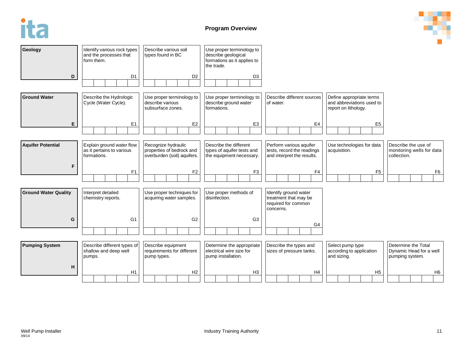



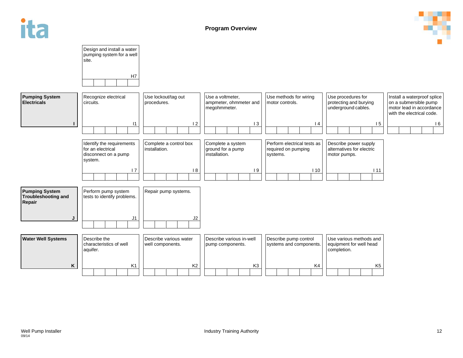

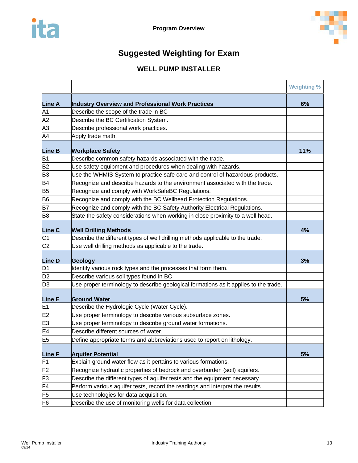

# **Suggested Weighting for Exam**

# **WELL PUMP INSTALLER**

<span id="page-13-0"></span>

|                |                                                                                      | <b>Weighting %</b> |
|----------------|--------------------------------------------------------------------------------------|--------------------|
| <b>Line A</b>  | Industry Overview and Professional Work Practices                                    | 6%                 |
| A <sub>1</sub> | Describe the scope of the trade in BC                                                |                    |
| A2             | Describe the BC Certification System.                                                |                    |
| A3             | Describe professional work practices.                                                |                    |
| A4             | Apply trade math.                                                                    |                    |
| <b>Line B</b>  | <b>Workplace Safety</b>                                                              | 11%                |
| B <sub>1</sub> | Describe common safety hazards associated with the trade.                            |                    |
| B <sub>2</sub> | Use safety equipment and procedures when dealing with hazards.                       |                    |
| B <sub>3</sub> | Use the WHMIS System to practice safe care and control of hazardous products.        |                    |
| <b>B4</b>      | Recognize and describe hazards to the environment associated with the trade.         |                    |
| <b>B5</b>      | Recognize and comply with WorkSafeBC Regulations.                                    |                    |
| <b>B6</b>      | Recognize and comply with the BC Wellhead Protection Regulations.                    |                    |
| <b>B7</b>      | Recognize and comply with the BC Safety Authority Electrical Regulations.            |                    |
| B <sub>8</sub> | State the safety considerations when working in close proximity to a well head.      |                    |
| <b>Line C</b>  | <b>Well Drilling Methods</b>                                                         | 4%                 |
| C <sub>1</sub> | Describe the different types of well drilling methods applicable to the trade.       |                    |
| C <sub>2</sub> | Use well drilling methods as applicable to the trade.                                |                    |
| <b>Line D</b>  | Geology                                                                              | 3%                 |
| D <sub>1</sub> | Identify various rock types and the processes that form them.                        |                    |
| D <sub>2</sub> | Describe various soil types found in BC                                              |                    |
| D <sub>3</sub> | Use proper terminology to describe geological formations as it applies to the trade. |                    |
| <b>Line E</b>  | <b>Ground Water</b>                                                                  | 5%                 |
| E <sub>1</sub> | Describe the Hydrologic Cycle (Water Cycle).                                         |                    |
| E <sub>2</sub> | Use proper terminology to describe various subsurface zones.                         |                    |
| E <sub>3</sub> | Use proper terminology to describe ground water formations.                          |                    |
| E <sub>4</sub> | Describe different sources of water.                                                 |                    |
| E <sub>5</sub> | Define appropriate terms and abbreviations used to report on lithology.              |                    |
| <b>Line F</b>  | <b>Aquifer Potential</b>                                                             | 5%                 |
| F1             | Explain ground water flow as it pertains to various formations.                      |                    |
| F <sub>2</sub> | Recognize hydraulic properties of bedrock and overburden (soil) aquifers.            |                    |
| F <sub>3</sub> | Describe the different types of aquifer tests and the equipment necessary.           |                    |
| F4             | Perform various aquifer tests, record the readings and interpret the results.        |                    |
| F <sub>5</sub> | Use technologies for data acquisition.                                               |                    |
| F6             | Describe the use of monitoring wells for data collection.                            |                    |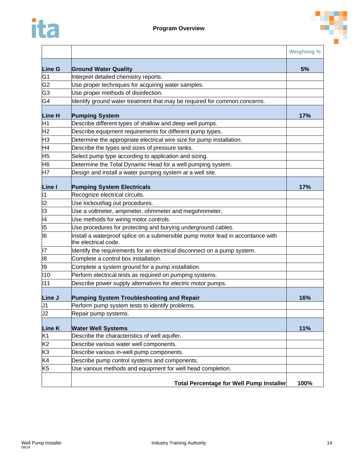

|                 |                                                                                                         | <b>Weighting %</b> |
|-----------------|---------------------------------------------------------------------------------------------------------|--------------------|
| <b>Line G</b>   | <b>Ground Water Quality</b>                                                                             | 5%                 |
| G1              | Interpret detailed chemistry reports.                                                                   |                    |
| G <sub>2</sub>  | Use proper techniques for acquiring water samples.                                                      |                    |
| G <sub>3</sub>  | Use proper methods of disinfection.                                                                     |                    |
| G4              | Identify ground water treatment that may be required for common concerns.                               |                    |
| Line H          | <b>Pumping System</b>                                                                                   | 17%                |
| H1              | Describe different types of shallow and deep well pumps.                                                |                    |
| H <sub>2</sub>  | Describe equipment requirements for different pump types.                                               |                    |
| H <sub>3</sub>  | Determine the appropriate electrical wire size for pump installation.                                   |                    |
| H4              | Describe the types and sizes of pressure tanks.                                                         |                    |
| H5              | Select pump type according to application and sizing.                                                   |                    |
| H <sub>6</sub>  | Determine the Total Dynamic Head for a well pumping system.                                             |                    |
| H7              | Design and install a water pumping system at a well site.                                               |                    |
| Line I          | <b>Pumping System Electricals</b>                                                                       | 17%                |
| 11              | Recognize electrical circuits.                                                                          |                    |
| 2               | Use lockout/tag out procedures.                                                                         |                    |
| $\overline{13}$ | Use a voltmeter, ampmeter, ohmmeter and megohmmeter.                                                    |                    |
| 4               | Use methods for wiring motor controls.                                                                  |                    |
| 5               | Use procedures for protecting and burying underground cables.                                           |                    |
| $\overline{16}$ | Install a waterproof splice on a submersible pump motor lead in accordance with<br>the electrical code. |                    |
| 17              | Identify the requirements for an electrical disconnect on a pump system.                                |                    |
| 18              | Complete a control box installation.                                                                    |                    |
| 19              | Complete a system ground for a pump installation.                                                       |                    |
| 110             | Perform electrical tests as required on pumping systems.                                                |                    |
| 111             | Describe power supply alternatives for electric motor pumps.                                            |                    |
| Line J          | <b>Pumping System Troubleshooting and Repair</b>                                                        | 16%                |
| J1              | Perform pump system tests to identify problems.                                                         |                    |
| J2              | Repair pump systems.                                                                                    |                    |
| Line K          | <b>Water Well Systems</b>                                                                               | 11%                |
| K1              | Describe the characteristics of well aquifer.                                                           |                    |
| K <sub>2</sub>  | Describe various water well components.                                                                 |                    |
| K <sub>3</sub>  | Describe various in-well pump components.                                                               |                    |
| K4              | Describe pump control systems and components.                                                           |                    |
| K <sub>5</sub>  | Use various methods and equipment for well head completion.                                             |                    |
|                 | <b>Total Percentage for Well Pump Installer</b>                                                         | 100%               |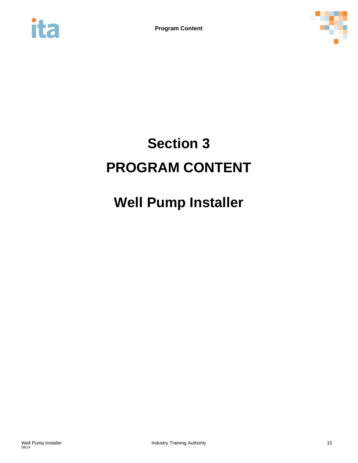<span id="page-15-0"></span>



# **Section 3 PROGRAM CONTENT**

# **Well Pump Installer**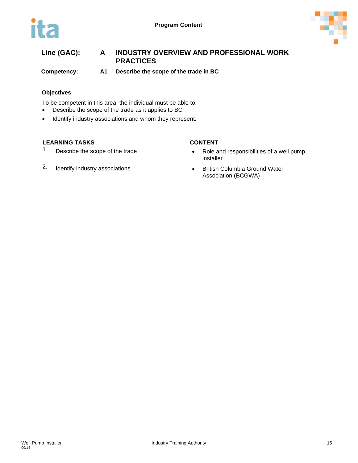



**Competency: A1 Describe the scope of the trade in BC**

### **Objectives**

To be competent in this area, the individual must be able to:

- Describe the scope of the trade as it applies to BC
- Identify industry associations and whom they represent.

- 
- 2. Identify industry associations **•** British Columbia Ground Water

- 1. Describe the scope of the trade **•** Role and responsibilities of a well pump installer
	- Association (BCGWA)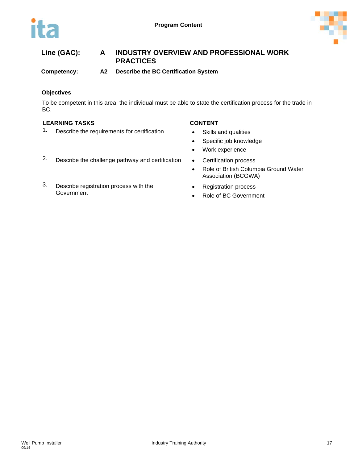

**Competency: A2 Describe the BC Certification System**

## **Objectives**

To be competent in this area, the individual must be able to state the certification process for the trade in BC.

## **LEARNING TASKS CONTENT**

1. Describe the requirements for certification • Skills and qualities

- 
- Specific job knowledge
- Work experience
- 
- Role of British Columbia Ground Water Association (BCGWA)
- Registration process
- Role of BC Government
- 2. Describe the challenge pathway and certification Certification process
- 3. Describe registration process with the Government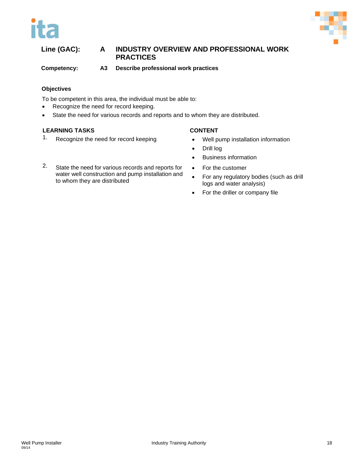



**Competency: A3 Describe professional work practices**

#### **Objectives**

To be competent in this area, the individual must be able to:

- Recognize the need for record keeping.
- State the need for various records and reports and to whom they are distributed.

- 
- 1. Recognize the need for record keeping Well pump installation information
	- Drill log
	- Business information
- 2. State the need for various records and reports for water well construction and pump installation and to whom they are distributed
	- For the customer
	- For any regulatory bodies (such as drill logs and water analysis)
	- For the driller or company file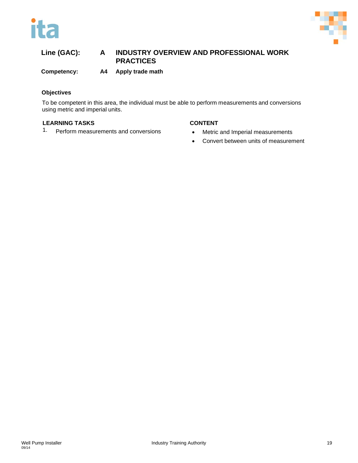



**Competency: A4 Apply trade math**

### **Objectives**

To be competent in this area, the individual must be able to perform measurements and conversions using metric and imperial units.

- 1. Perform measurements and conversions Metric and Imperial measurements
	- Convert between units of measurement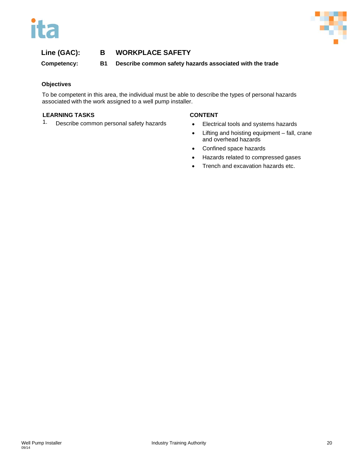



**Competency: B1 Describe common safety hazards associated with the trade**

## **Objectives**

To be competent in this area, the individual must be able to describe the types of personal hazards associated with the work assigned to a well pump installer.

#### **LEARNING TASKS CONTENT**

1. Describe common personal safety hazards • Electrical tools and systems hazards

- 
- Lifting and hoisting equipment fall, crane and overhead hazards
- Confined space hazards
- Hazards related to compressed gases
- Trench and excavation hazards etc.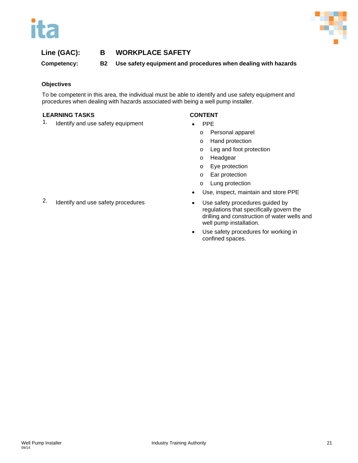



**Competency: B2 Use safety equipment and procedures when dealing with hazards**

#### **Objectives**

To be competent in this area, the individual must be able to identify and use safety equipment and procedures when dealing with hazards associated with being a well pump installer.

#### **LEARNING TASKS CONTENT**

1. Identify and use safety equipment • PPE

- o Personal apparel
- o Hand protection
- o Leg and foot protection
- o Headgear
- o Eye protection
- o Ear protection
- o Lung protection
- Use, inspect, maintain and store PPE
- regulations that specifically govern the drilling and construction of water wells and well pump installation.
- Use safety procedures for working in confined spaces.
- 2. Identify and use safety procedures Use safety procedures guided by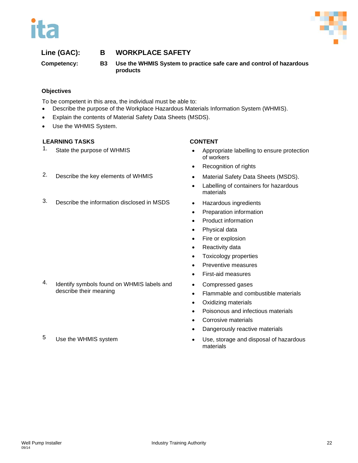



**Competency: B3 Use the WHMIS System to practice safe care and control of hazardous products**

## **Objectives**

To be competent in this area, the individual must be able to:

- Describe the purpose of the Workplace Hazardous Materials Information System (WHMIS).
- Explain the contents of Material Safety Data Sheets (MSDS).
- Use the WHMIS System.

- 1. State the purpose of WHMIS **•** Appropriate labelling to ensure protection of workers
	- Recognition of rights
- 2. Describe the key elements of WHMIS Material Safety Data Sheets (MSDS).
	- Labelling of containers for hazardous materials
	-
	- Preparation information
	- Product information
	- Physical data
	- Fire or explosion
	- Reactivity data
	- Toxicology properties
	- Preventive measures
	- First-aid measures
	- Compressed gases
	- Flammable and combustible materials
	- Oxidizing materials
	- Poisonous and infectious materials
	- Corrosive materials
	- Dangerously reactive materials
- 5 Use the WHMIS system **•** Use, storage and disposal of hazardous materials
- 
- 3. Describe the information disclosed in MSDS Hazardous ingredients

- 4. Identify symbols found on WHMIS labels and describe their meaning
-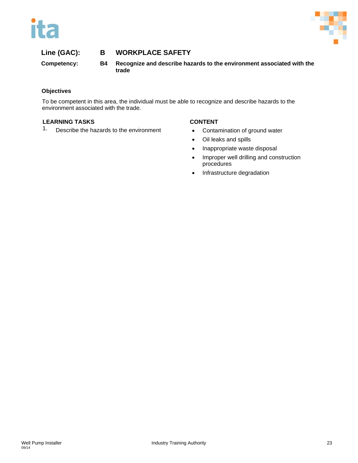



**Competency: B4 Recognize and describe hazards to the environment associated with the trade**

### **Objectives**

To be competent in this area, the individual must be able to recognize and describe hazards to the environment associated with the trade.

## **LEARNING TASKS CONTENT**

1. Describe the hazards to the environment • Contamination of ground water

- 
- Oil leaks and spills
- Inappropriate waste disposal
- Improper well drilling and construction procedures
- Infrastructure degradation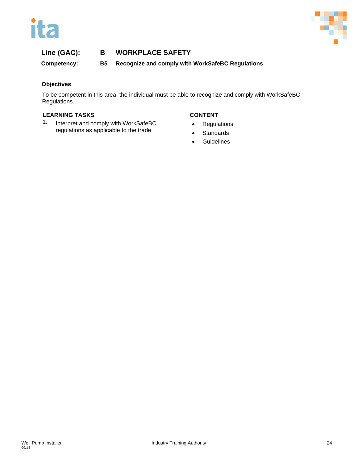



**Competency: B5 Recognize and comply with WorkSafeBC Regulations**

## **Objectives**

To be competent in this area, the individual must be able to recognize and comply with WorkSafeBC Regulations.

## **LEARNING TASKS CONTENT**

1. Interpret and comply with WorkSafeBC regulations as applicable to the trade

- Regulations
- Standards
- **Guidelines**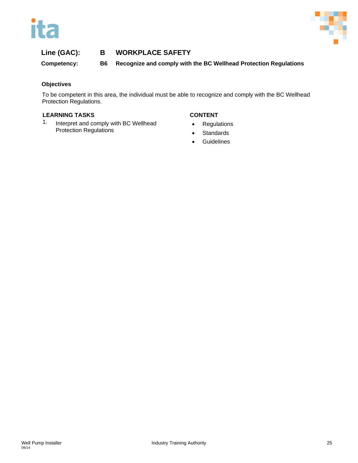



**Competency: B6 Recognize and comply with the BC Wellhead Protection Regulations**

## **Objectives**

To be competent in this area, the individual must be able to recognize and comply with the BC Wellhead Protection Regulations.

#### **LEARNING TASKS CONTENT**

1. Interpret and comply with BC Wellhead Protection Regulations

- Regulations
- Standards
- **Guidelines**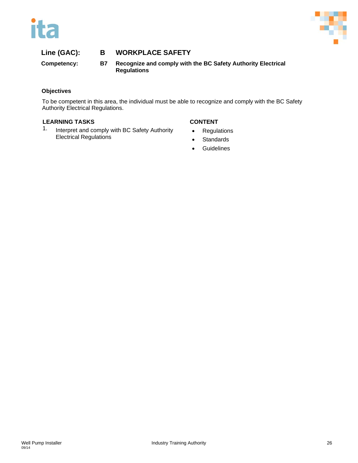



**Competency: B7 Recognize and comply with the BC Safety Authority Electrical Regulations**

#### **Objectives**

To be competent in this area, the individual must be able to recognize and comply with the BC Safety Authority Electrical Regulations.

## **LEARNING TASKS CONTENT**

1. Interpret and comply with BC Safety Authority Electrical Regulations

- Regulations
- Standards
- **Guidelines**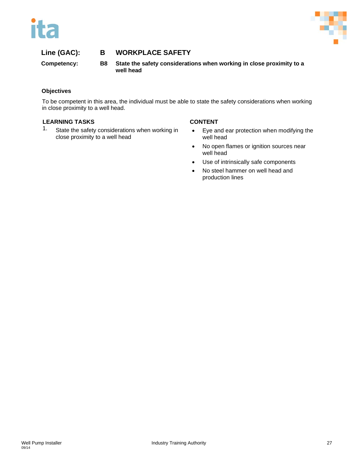



**Competency: B8 State the safety considerations when working in close proximity to a well head**

### **Objectives**

To be competent in this area, the individual must be able to state the safety considerations when working in close proximity to a well head.

#### **LEARNING TASKS CONTENT**

1. State the safety considerations when working in close proximity to a well head

- Eye and ear protection when modifying the well head
- No open flames or ignition sources near well head
- Use of intrinsically safe components
- No steel hammer on well head and production lines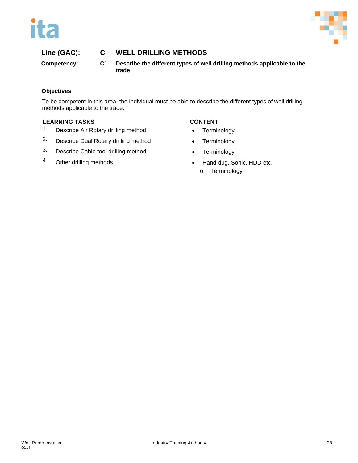



## **Line (GAC): C WELL DRILLING METHODS**

**Competency: C1 Describe the different types of well drilling methods applicable to the trade**

#### **Objectives**

To be competent in this area, the individual must be able to describe the different types of well drilling methods applicable to the trade.

- 1. Describe Air Rotary drilling method Terminology
- 2. Describe Dual Rotary drilling method Terminology
- 3. Describe Cable tool drilling method Terminology
- 

- 
- 
- 
- 4. Other drilling methods **•** Hand dug, Sonic, HDD etc. o Terminology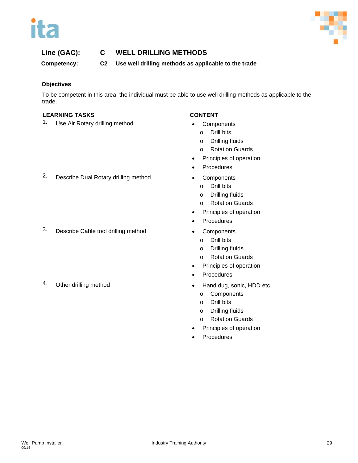



## **Line (GAC): C WELL DRILLING METHODS**

**Competency: C2 Use well drilling methods as applicable to the trade**

#### **Objectives**

To be competent in this area, the individual must be able to use well drilling methods as applicable to the trade.

#### **LEARNING TASKS CONTENT**

1. Use Air Rotary drilling method • Components

- - o Drill bits
- o Drilling fluids
- o Rotation Guards
- Principles of operation
- **Procedures**
- - o Drill bits
	- o Drilling fluids
	- o Rotation Guards
- Principles of operation
- **Procedures**
- 3. Describe Cable tool drilling method Components
	- o Drill bits
	- o Drilling fluids
	- o Rotation Guards
	- Principles of operation
	- **Procedures**
- 4. Other drilling method **•** Hand dug, sonic, HDD etc.
	- o Components
	- o Drill bits
	- o Drilling fluids
	- o Rotation Guards
	- Principles of operation
	- **Procedures**

2. Describe Dual Rotary drilling method • Components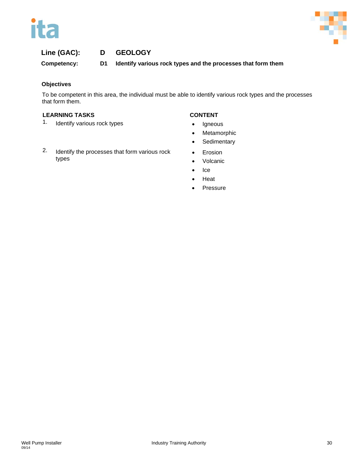



# **Line (GAC): D GEOLOGY**

**Competency: D1 Identify various rock types and the processes that form them**

## **Objectives**

To be competent in this area, the individual must be able to identify various rock types and the processes that form them.

- 1. Identify various rock types **•** Igneous
- 2. Identify the processes that form various rock types

- 
- Metamorphic
- **Sedimentary**
- Erosion
- Volcanic
- Ice
- Heat
- **Pressure**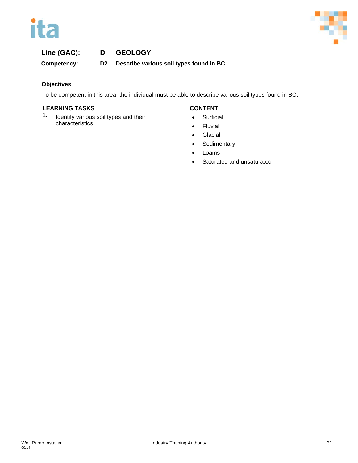



# **Line (GAC): D GEOLOGY**

**Competency: D2 Describe various soil types found in BC**

## **Objectives**

To be competent in this area, the individual must be able to describe various soil types found in BC.

#### **LEARNING TASKS CONTENT**

1. Identify various soil types and their characteristics

- Surficial
- Fluvial
- **Glacial**
- Sedimentary
- Loams
- Saturated and unsaturated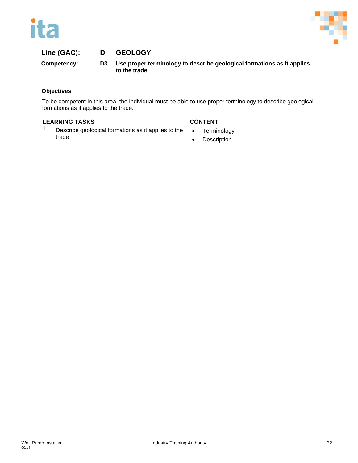



## **Line (GAC): D GEOLOGY**

**Competency: D3 Use proper terminology to describe geological formations as it applies to the trade**

#### **Objectives**

To be competent in this area, the individual must be able to use proper terminology to describe geological formations as it applies to the trade.

- 1. Describe geological formations as it applies to the trade
- Terminology
- Description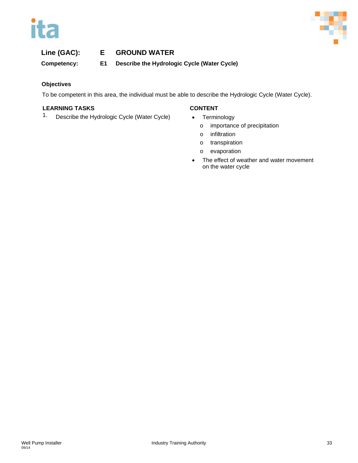



# **Line (GAC): E GROUND WATER**

**Competency: E1 Describe the Hydrologic Cycle (Water Cycle)**

## **Objectives**

To be competent in this area, the individual must be able to describe the Hydrologic Cycle (Water Cycle).

## **LEARNING TASKS CONTENT**

1. Describe the Hydrologic Cycle (Water Cycle) • Terminology

- - o importance of precipitation
	- o infiltration
	- o transpiration
	- o evaporation
- The effect of weather and water movement on the water cycle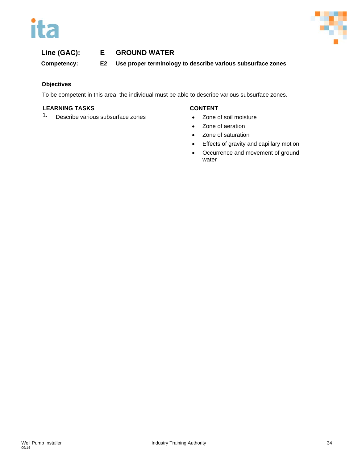



# **Line (GAC): E GROUND WATER**

**Competency: E2 Use proper terminology to describe various subsurface zones**

## **Objectives**

To be competent in this area, the individual must be able to describe various subsurface zones.

## **LEARNING TASKS CONTENT**

1. Describe various subsurface zones • Zone of soil moisture

- 
- Zone of aeration
- Zone of saturation
- Effects of gravity and capillary motion
- Occurrence and movement of ground water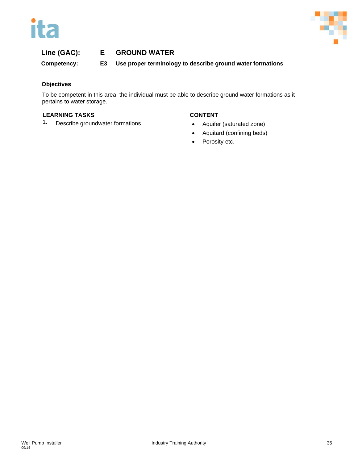



## **Line (GAC): E GROUND WATER**

**Competency: E3 Use proper terminology to describe ground water formations**

### **Objectives**

To be competent in this area, the individual must be able to describe ground water formations as it pertains to water storage.

#### **LEARNING TASKS CONTENT**

1. Describe groundwater formations **•** Aquifer (saturated zone)

- 
- Aquitard (confining beds)
- Porosity etc.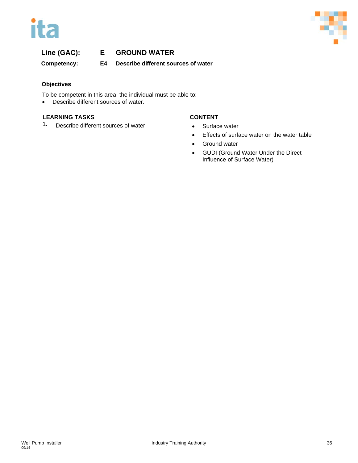



# **Line (GAC): E GROUND WATER**

**Competency: E4 Describe different sources of water**

### **Objectives**

To be competent in this area, the individual must be able to:

• Describe different sources of water.

# **LEARNING TASKS CONTENT**

1. Describe different sources of water **•** Surface water

- 
- Effects of surface water on the water table
- Ground water
- GUDI (Ground Water Under the Direct Influence of Surface Water)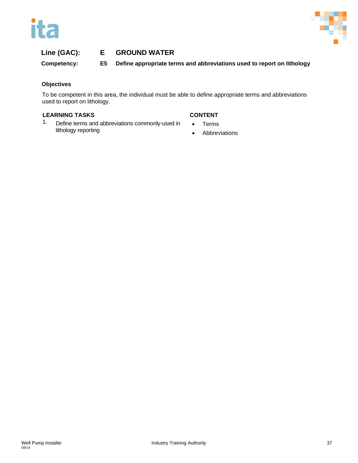



# **Line (GAC): E GROUND WATER**

**Competency: E5 Define appropriate terms and abbreviations used to report on lithology**

### **Objectives**

To be competent in this area, the individual must be able to define appropriate terms and abbreviations used to report on lithology.

### **LEARNING TASKS CONTENT**

1. Define terms and abbreviations commonly-used in lithology reporting

- Terms
- Abbreviations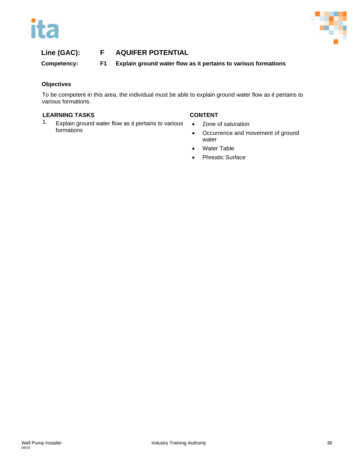



**Competency: F1 Explain ground water flow as it pertains to various formations**

### **Objectives**

To be competent in this area, the individual must be able to explain ground water flow as it pertains to various formations.

### **LEARNING TASKS CONTENT**

1. Explain ground water flow as it pertains to various formations

- Zone of saturation
- Occurrence and movement of ground water
- Water Table
- Phreatic Surface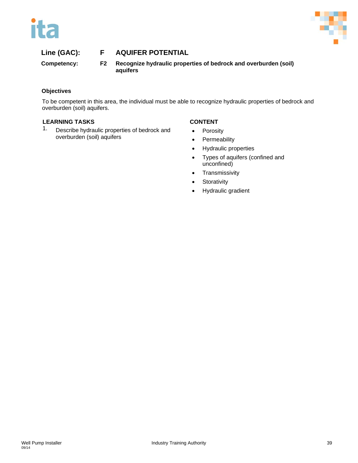



**Competency: F2 Recognize hydraulic properties of bedrock and overburden (soil) aquifers**

# **Objectives**

To be competent in this area, the individual must be able to recognize hydraulic properties of bedrock and overburden (soil) aquifers.

# **LEARNING TASKS CONTENT**

1. Describe hydraulic properties of bedrock and overburden (soil) aquifers

- Porosity
- Permeability
- Hydraulic properties
- Types of aquifers (confined and unconfined)
- Transmissivity
- Storativity
- Hydraulic gradient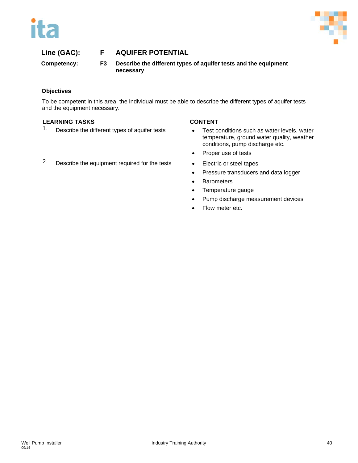



**Competency: F3 Describe the different types of aquifer tests and the equipment necessary**

# **Objectives**

To be competent in this area, the individual must be able to describe the different types of aquifer tests and the equipment necessary.

### **LEARNING TASKS CONTENT**

- 
- 1. Describe the different types of aquifer tests Test conditions such as water levels, water
	- temperature, ground water quality, weather conditions, pump discharge etc.
	- Proper use of tests
	-
	- Pressure transducers and data logger
	- Barometers
	- Temperature gauge
	- Pump discharge measurement devices
	- Flow meter etc.
- 2. Describe the equipment required for the tests Electric or steel tapes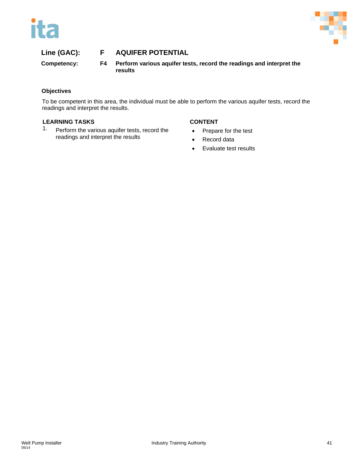



**Competency: F4 Perform various aquifer tests, record the readings and interpret the results**

# **Objectives**

To be competent in this area, the individual must be able to perform the various aquifer tests, record the readings and interpret the results.

# **LEARNING TASKS CONTENT**

1. Perform the various aquifer tests, record the readings and interpret the results

- Prepare for the test
- Record data
- Evaluate test results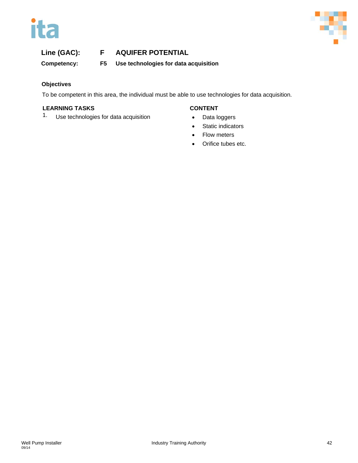



**Competency: F5 Use technologies for data acquisition**

# **Objectives**

To be competent in this area, the individual must be able to use technologies for data acquisition.

# **LEARNING TASKS CONTENT**

1. Use technologies for data acquisition • Data loggers

- 
- Static indicators
- Flow meters
- Orifice tubes etc.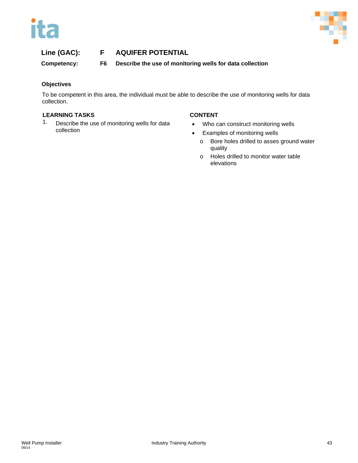



**Competency: F6 Describe the use of monitoring wells for data collection**

# **Objectives**

To be competent in this area, the individual must be able to describe the use of monitoring wells for data collection.

# **LEARNING TASKS CONTENT**

1. Describe the use of monitoring wells for data collection

- Who can construct monitoring wells
- Examples of monitoring wells
	- o Bore holes drilled to asses ground water quality
	- o Holes drilled to monitor water table elevations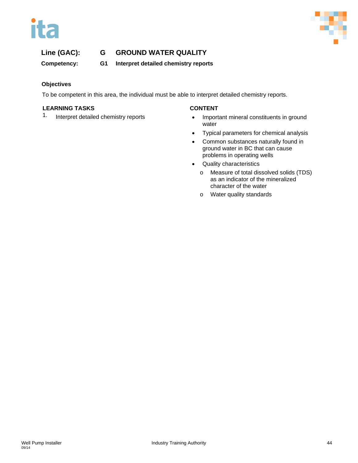



**Competency: G1 Interpret detailed chemistry reports**

# **Objectives**

To be competent in this area, the individual must be able to interpret detailed chemistry reports.

### **LEARNING TASKS CONTENT**

- 1. Interpret detailed chemistry reports Important mineral constituents in ground water
	- Typical parameters for chemical analysis
	- Common substances naturally found in ground water in BC that can cause problems in operating wells
	- Quality characteristics
		- o Measure of total dissolved solids (TDS) as an indicator of the mineralized character of the water
		- o Water quality standards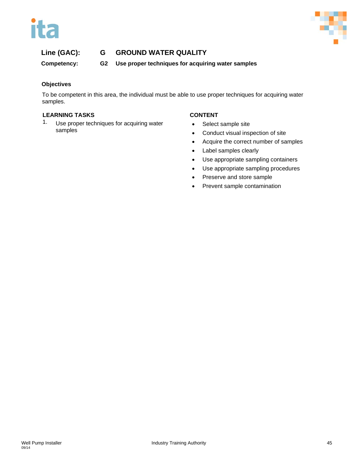



**Competency: G2 Use proper techniques for acquiring water samples**

# **Objectives**

To be competent in this area, the individual must be able to use proper techniques for acquiring water samples.

# **LEARNING TASKS CONTENT**

1. Use proper techniques for acquiring water samples

- Select sample site
- Conduct visual inspection of site
- Acquire the correct number of samples
- Label samples clearly
- Use appropriate sampling containers
- Use appropriate sampling procedures
- Preserve and store sample
- Prevent sample contamination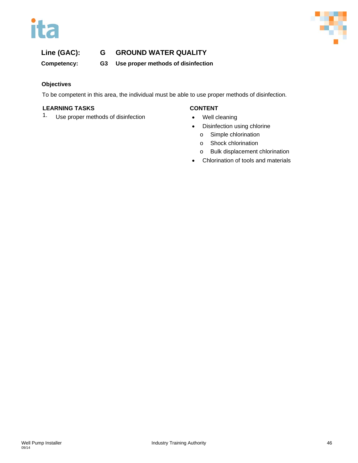



**Competency: G3 Use proper methods of disinfection**

# **Objectives**

To be competent in this area, the individual must be able to use proper methods of disinfection.

### **LEARNING TASKS CONTENT**

1. Use proper methods of disinfection • Well cleaning

- 
- Disinfection using chlorine
	- o Simple chlorination
	- o Shock chlorination
	- o Bulk displacement chlorination
- Chlorination of tools and materials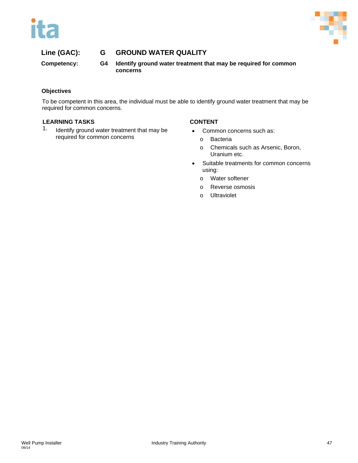



**Competency: G4 Identify ground water treatment that may be required for common concerns**

# **Objectives**

To be competent in this area, the individual must be able to identify ground water treatment that may be required for common concerns.

### **LEARNING TASKS CONTENT**

1. Identify ground water treatment that may be required for common concerns

- Common concerns such as:
	- o Bacteria
	- o Chemicals such as Arsenic, Boron, Uranium etc.
- Suitable treatments for common concerns using:
	- o Water softener
	- o Reverse osmosis
	- o Ultraviolet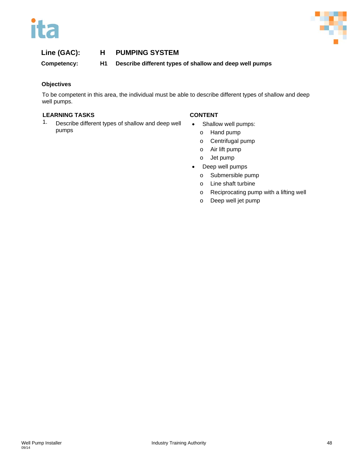



**Competency: H1 Describe different types of shallow and deep well pumps**

# **Objectives**

To be competent in this area, the individual must be able to describe different types of shallow and deep well pumps.

# **LEARNING TASKS CONTENT**

1. Describe different types of shallow and deep well pumps

- Shallow well pumps:
	- o Hand pump
	- o Centrifugal pump
	- o Air lift pump
	- o Jet pump
- Deep well pumps
	- o Submersible pump
	- o Line shaft turbine
	- o Reciprocating pump with a lifting well
	- o Deep well jet pump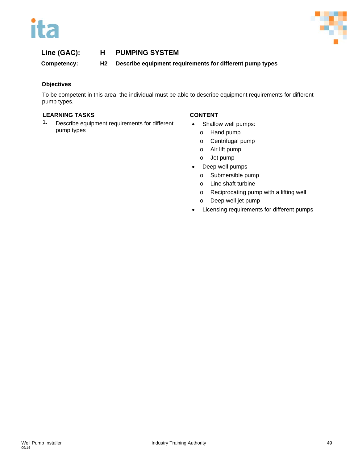



**Competency: H2 Describe equipment requirements for different pump types**

# **Objectives**

To be competent in this area, the individual must be able to describe equipment requirements for different pump types.

# **LEARNING TASKS CONTENT**

1. Describe equipment requirements for different pump types

- Shallow well pumps:
	- o Hand pump
	- o Centrifugal pump
	- o Air lift pump
	- o Jet pump
- Deep well pumps
	- o Submersible pump
	- o Line shaft turbine
	- o Reciprocating pump with a lifting well
	- o Deep well jet pump
- Licensing requirements for different pumps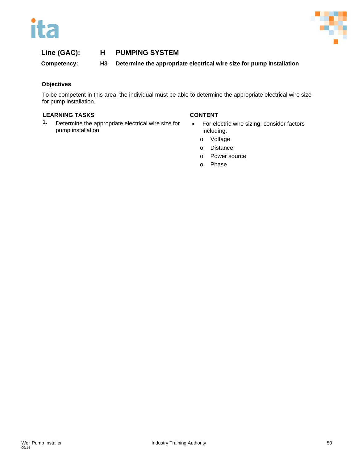



**Competency: H3 Determine the appropriate electrical wire size for pump installation**

### **Objectives**

To be competent in this area, the individual must be able to determine the appropriate electrical wire size for pump installation.

### **LEARNING TASKS CONTENT**

1. Determine the appropriate electrical wire size for pump installation

- For electric wire sizing, consider factors including:
	- o Voltage
	- o Distance
	- o Power source
	- o Phase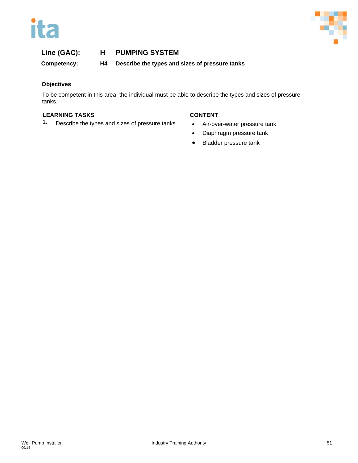



**Competency: H4 Describe the types and sizes of pressure tanks**

# **Objectives**

To be competent in this area, the individual must be able to describe the types and sizes of pressure tanks.

# **LEARNING TASKS CONTENT**

1. Describe the types and sizes of pressure tanks • Air-over-water pressure tank

- 
- Diaphragm pressure tank
- Bladder pressure tank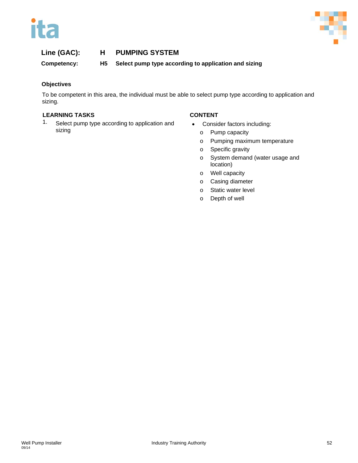



**Competency: H5 Select pump type according to application and sizing**

# **Objectives**

To be competent in this area, the individual must be able to select pump type according to application and sizing.

# **LEARNING TASKS CONTENT**

1. Select pump type according to application and sizing

- Consider factors including:
	- o Pump capacity
	- o Pumping maximum temperature
	- o Specific gravity
	- o System demand (water usage and location)
	- o Well capacity
	- o Casing diameter
	- o Static water level
	- o Depth of well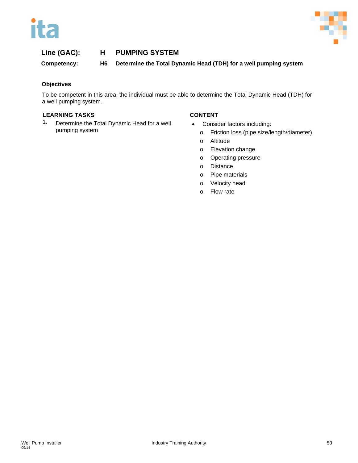



**Competency: H6 Determine the Total Dynamic Head (TDH) for a well pumping system**

# **Objectives**

To be competent in this area, the individual must be able to determine the Total Dynamic Head (TDH) for a well pumping system.

### **LEARNING TASKS CONTENT**

1. Determine the Total Dynamic Head for a well pumping system

- Consider factors including:
	- o Friction loss (pipe size/length/diameter)
	- o Altitude
	- o Elevation change
	- o Operating pressure
	- o Distance
	- o Pipe materials
	- o Velocity head
	- o Flow rate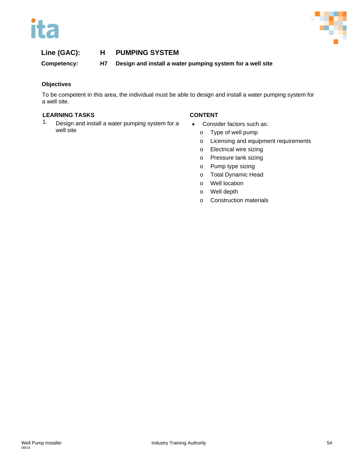



**Competency: H7 Design and install a water pumping system for a well site**

# **Objectives**

To be competent in this area, the individual must be able to design and install a water pumping system for a well site.

# **LEARNING TASKS CONTENT**

1. Design and install a water pumping system for a well site

- Consider factors such as:
	- o Type of well pump
	- o Licensing and equipment requirements
	- o Electrical wire sizing
	- o Pressure tank sizing
	- o Pump type sizing
	- o Total Dynamic Head
	- o Well location
	- o Well depth
	- o Construction materials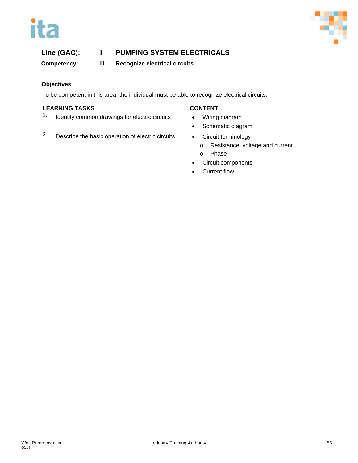# ita



# **Line (GAC): I PUMPING SYSTEM ELECTRICALS**

**Competency: I1 Recognize electrical circuits**

# **Objectives**

To be competent in this area, the individual must be able to recognize electrical circuits.

# **LEARNING TASKS CONTENT**

1. Identify common drawings for electric circuits • Wiring diagram

- 
- Schematic diagram
- 2. Describe the basic operation of electric circuits Circuit terminology
	- o Resistance, voltage and current
	- o Phase
	- Circuit components
	- Current flow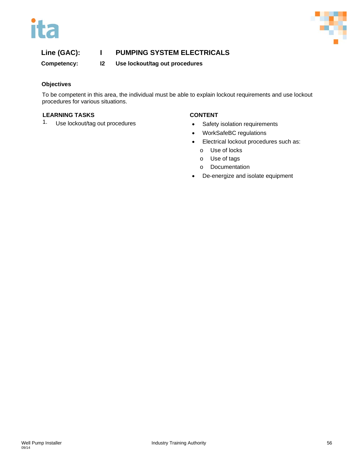



**Competency: I2 Use lockout/tag out procedures**

# **Objectives**

To be competent in this area, the individual must be able to explain lockout requirements and use lockout procedures for various situations.

### **LEARNING TASKS CONTENT**

1. Use lockout/tag out procedures **•** Safety isolation requirements

- 
- WorkSafeBC regulations
- Electrical lockout procedures such as:
	- o Use of locks
	- o Use of tags
	- o Documentation
- De-energize and isolate equipment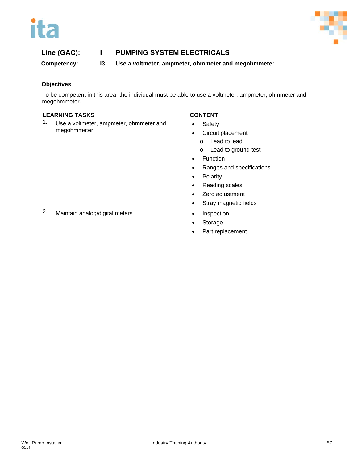



**Competency: I3 Use a voltmeter, ampmeter, ohmmeter and megohmmeter**

# **Objectives**

To be competent in this area, the individual must be able to use a voltmeter, ampmeter, ohmmeter and megohmmeter.

### **LEARNING TASKS CONTENT**

1. Use a voltmeter, ampmeter, ohmmeter and megohmmeter

- Safety
- Circuit placement
	- o Lead to lead
	- o Lead to ground test
- Function
- Ranges and specifications
- Polarity
- Reading scales
- Zero adjustment
- Stray magnetic fields
- 
- **Storage**
- Part replacement
- 2. Maintain analog/digital meters Inspection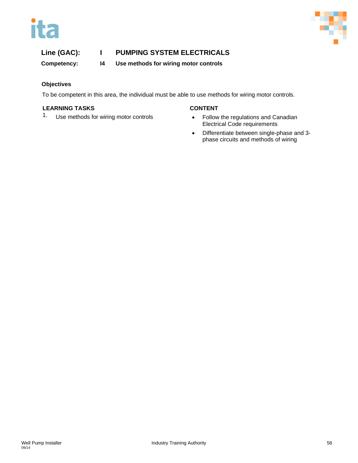# ita



# **Line (GAC): I PUMPING SYSTEM ELECTRICALS**

**Competency: I4 Use methods for wiring motor controls**

# **Objectives**

To be competent in this area, the individual must be able to use methods for wiring motor controls.

# **LEARNING TASKS CONTENT**

1. Use methods for wiring motor controls **•** Follow the regulations and Canadian

- Electrical Code requirements
- Differentiate between single-phase and 3 phase circuits and methods of wiring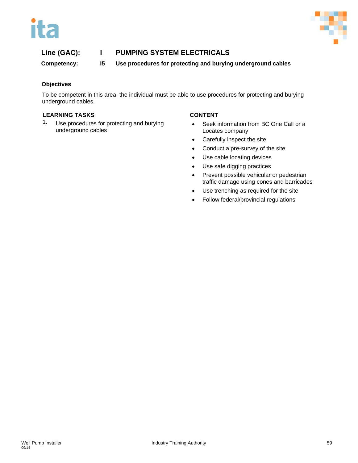



**Competency: I5 Use procedures for protecting and burying underground cables**

### **Objectives**

To be competent in this area, the individual must be able to use procedures for protecting and burying underground cables.

### **LEARNING TASKS CONTENT**

1. Use procedures for protecting and burying underground cables

- Seek information from BC One Call or a Locates company
- Carefully inspect the site
- Conduct a pre-survey of the site
- Use cable locating devices
- Use safe digging practices
- Prevent possible vehicular or pedestrian traffic damage using cones and barricades
- Use trenching as required for the site
- Follow federal/provincial regulations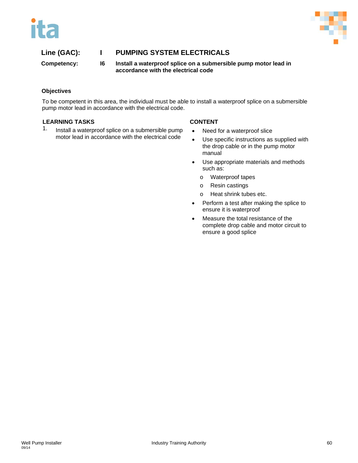

**Competency: I6 Install a waterproof splice on a submersible pump motor lead in accordance with the electrical code**

# **Objectives**

To be competent in this area, the individual must be able to install a waterproof splice on a submersible pump motor lead in accordance with the electrical code.

### **LEARNING TASKS CONTENT**

1. Install a waterproof splice on a submersible pump motor lead in accordance with the electrical code

- Need for a waterproof slice
- Use specific instructions as supplied with the drop cable or in the pump motor manual
- Use appropriate materials and methods such as:
	- o Waterproof tapes
	- o Resin castings
	- o Heat shrink tubes etc.
- Perform a test after making the splice to ensure it is waterproof
- Measure the total resistance of the complete drop cable and motor circuit to ensure a good splice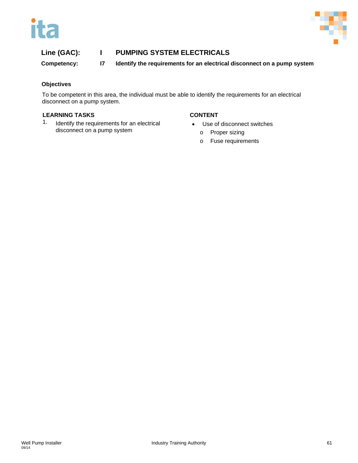



**Competency: I7 Identify the requirements for an electrical disconnect on a pump system**

### **Objectives**

To be competent in this area, the individual must be able to identify the requirements for an electrical disconnect on a pump system.

### **LEARNING TASKS CONTENT**

1. Identify the requirements for an electrical disconnect on a pump system

- Use of disconnect switches
	- o Proper sizing
	- o Fuse requirements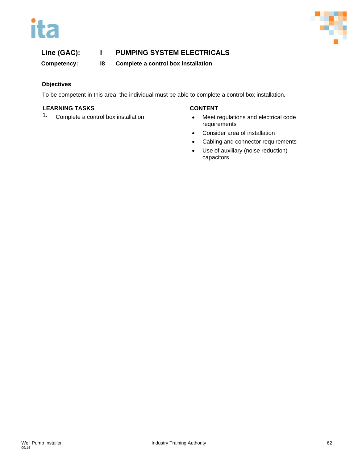



**Competency: I8 Complete a control box installation**

# **Objectives**

To be competent in this area, the individual must be able to complete a control box installation.

### **LEARNING TASKS CONTENT**

- 1. Complete a control box installation **•** Meet regulations and electrical code requirements
	- Consider area of installation
	- Cabling and connector requirements
	- Use of auxiliary (noise reduction) capacitors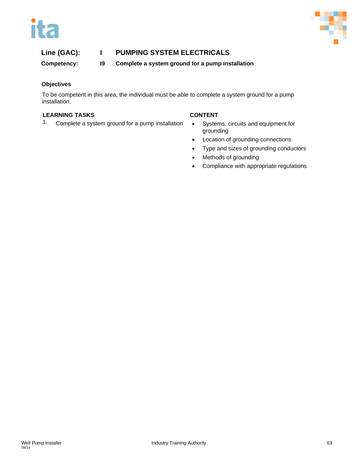



**Competency: I9 Complete a system ground for a pump installation**

# **Objectives**

To be competent in this area, the individual must be able to complete a system ground for a pump installation.

# **LEARNING TASKS CONTENT**

1. Complete a system ground for a pump installation • Systems, circuits and equipment for

- grounding
- Location of grounding connections
- Type and sizes of grounding conductors
- Methods of grounding
- Compliance with appropriate regulations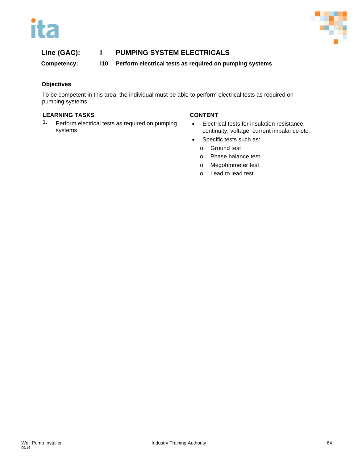



**Competency: I10 Perform electrical tests as required on pumping systems**

# **Objectives**

To be competent in this area, the individual must be able to perform electrical tests as required on pumping systems.

### **LEARNING TASKS CONTENT**

1. Perform electrical tests as required on pumping systems

- Electrical tests for insulation resistance, continuity, voltage, current imbalance etc.
- Specific tests such as:
	- o Ground test
	- o Phase balance test
	- o Megohmmeter test
	- o Lead to lead test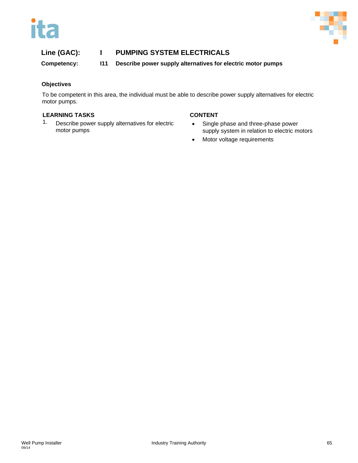



**Competency: I11 Describe power supply alternatives for electric motor pumps**

# **Objectives**

To be competent in this area, the individual must be able to describe power supply alternatives for electric motor pumps.

# **LEARNING TASKS CONTENT**

1. Describe power supply alternatives for electric motor pumps

- Single phase and three-phase power supply system in relation to electric motors
- Motor voltage requirements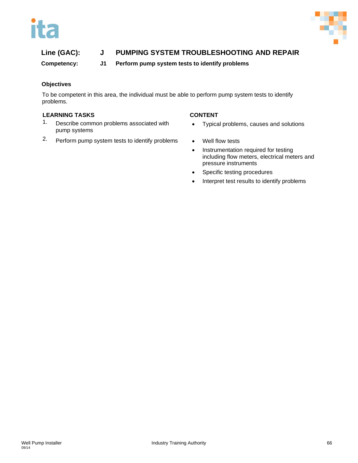

# **Line (GAC): J PUMPING SYSTEM TROUBLESHOOTING AND REPAIR**

# **Competency: J1 Perform pump system tests to identify problems**

# **Objectives**

To be competent in this area, the individual must be able to perform pump system tests to identify problems.

### **LEARNING TASKS CONTENT**

- 1. Describe common problems associated with pump systems
- 2. Perform pump system tests to identify problems Well flow tests

- Typical problems, causes and solutions
- 
- Instrumentation required for testing including flow meters, electrical meters and pressure instruments
- Specific testing procedures
- Interpret test results to identify problems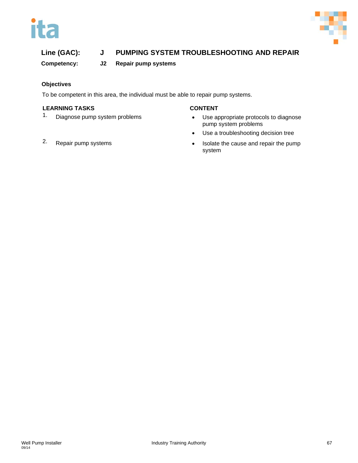# ita



# **Line (GAC): J PUMPING SYSTEM TROUBLESHOOTING AND REPAIR**

**Competency: J2 Repair pump systems**

# **Objectives**

To be competent in this area, the individual must be able to repair pump systems.

# **LEARNING TASKS CONTENT**

- 1. Diagnose pump system problems **•** Use appropriate protocols to diagnose pump system problems
	- Use a troubleshooting decision tree
- 2. Repair pump systems **•** Isolate the cause and repair the pump system
-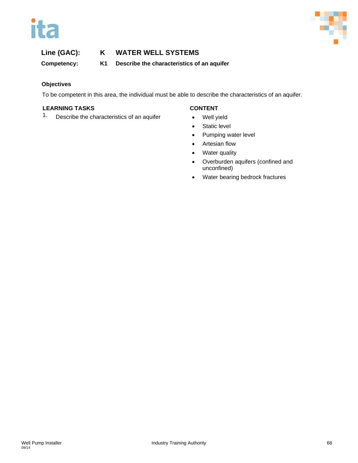



**Competency: K1 Describe the characteristics of an aquifer**

# **Objectives**

To be competent in this area, the individual must be able to describe the characteristics of an aquifer.

### **LEARNING TASKS CONTENT**

1. Describe the characteristics of an aquifer • Well yield

- 
- Static level
- Pumping water level
- Artesian flow
- Water quality
- Overburden aquifers (confined and unconfined)
- Water bearing bedrock fractures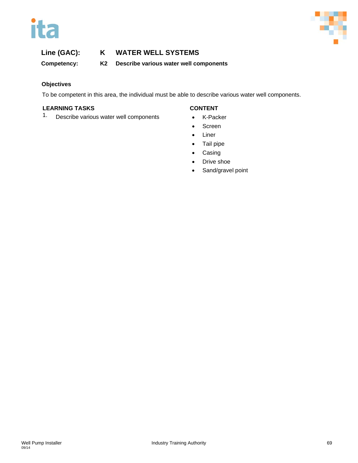



**Competency: K2 Describe various water well components**

# **Objectives**

To be competent in this area, the individual must be able to describe various water well components.

# **LEARNING TASKS CONTENT**

1. Describe various water well components • K-Packer

- 
- Screen
- **Liner**
- Tail pipe
- **Casing**
- Drive shoe
- Sand/gravel point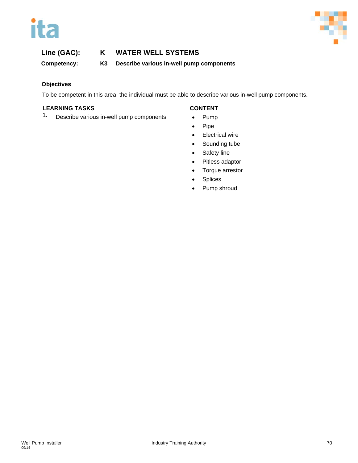



**Competency: K3 Describe various in-well pump components**

# **Objectives**

To be competent in this area, the individual must be able to describe various in-well pump components.

# **LEARNING TASKS CONTENT**

1. Describe various in-well pump components • Pump

- 
- Pipe
- Electrical wire
- Sounding tube
- Safety line
- Pitless adaptor
- Torque arrestor
- **Splices**
- Pump shroud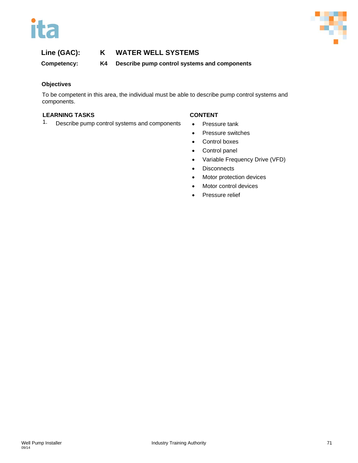



**Competency: K4 Describe pump control systems and components**

# **Objectives**

To be competent in this area, the individual must be able to describe pump control systems and components.

# **LEARNING TASKS CONTENT**

1. Describe pump control systems and components • Pressure tank

- 
- Pressure switches
- Control boxes
- Control panel
- Variable Frequency Drive (VFD)
- Disconnects
- Motor protection devices
- Motor control devices
- Pressure relief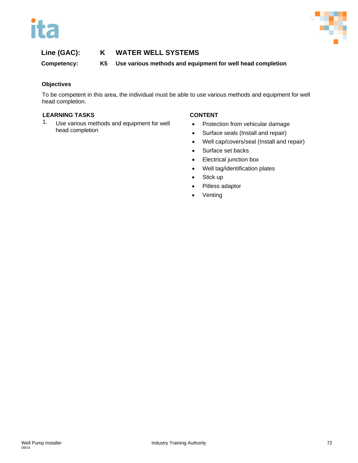



## **Line (GAC): K WATER WELL SYSTEMS**

**Competency: K5 Use various methods and equipment for well head completion**

## **Objectives**

To be competent in this area, the individual must be able to use various methods and equipment for well head completion.

## **LEARNING TASKS CONTENT**

1. Use various methods and equipment for well head completion

- Protection from vehicular damage
- Surface seals (Install and repair)
- Well cap/covers/seal (Install and repair)
- Surface set backs
- Electrical junction box
- Well tag/identification plates
- Stick up
- Pitless adaptor
- **Venting**